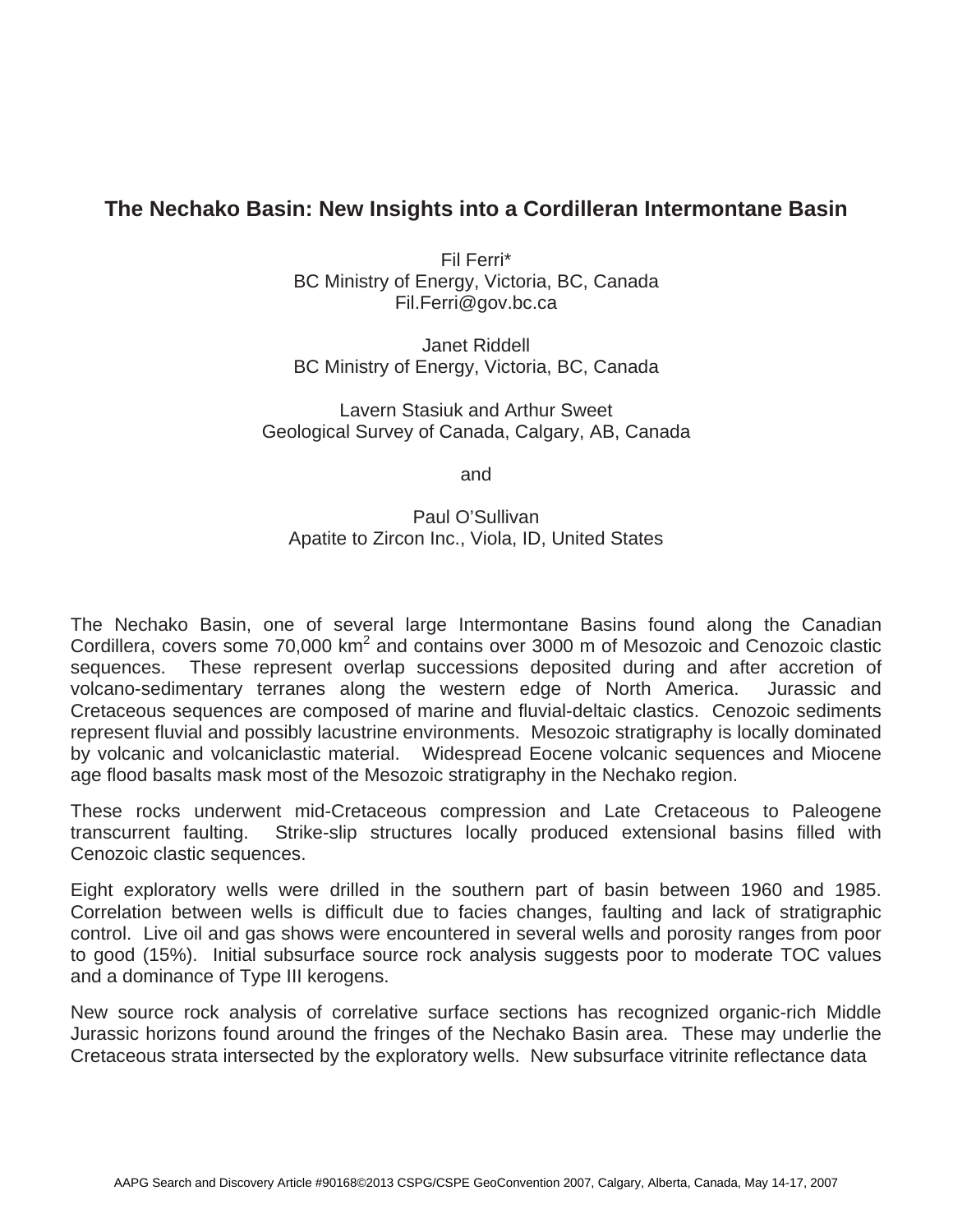## **The Nechako Basin: New Insights into a Cordilleran Intermontane Basin**

Fil Ferri\* BC Ministry of Energy, Victoria, BC, Canada Fil.Ferri@gov.bc.ca

Janet Riddell BC Ministry of Energy, Victoria, BC, Canada

Lavern Stasiuk and Arthur Sweet Geological Survey of Canada, Calgary, AB, Canada

and

## Paul O'Sullivan Apatite to Zircon Inc., Viola, ID, United States

The Nechako Basin, one of several large Intermontane Basins found along the Canadian Cordillera, covers some 70,000 km<sup>2</sup> and contains over 3000 m of Mesozoic and Cenozoic clastic sequences. These represent overlap successions deposited during and after accretion of volcano-sedimentary terranes along the western edge of North America. Jurassic and Cretaceous sequences are composed of marine and fluvial-deltaic clastics. Cenozoic sediments represent fluvial and possibly lacustrine environments. Mesozoic stratigraphy is locally dominated by volcanic and volcaniclastic material. Widespread Eocene volcanic sequences and Miocene age flood basalts mask most of the Mesozoic stratigraphy in the Nechako region.

These rocks underwent mid-Cretaceous compression and Late Cretaceous to Paleogene transcurrent faulting. Strike-slip structures locally produced extensional basins filled with Cenozoic clastic sequences.

Eight exploratory wells were drilled in the southern part of basin between 1960 and 1985. Correlation between wells is difficult due to facies changes, faulting and lack of stratigraphic control. Live oil and gas shows were encountered in several wells and porosity ranges from poor to good (15%). Initial subsurface source rock analysis suggests poor to moderate TOC values and a dominance of Type III kerogens.

New source rock analysis of correlative surface sections has recognized organic-rich Middle Jurassic horizons found around the fringes of the Nechako Basin area. These may underlie the Cretaceous strata intersected by the exploratory wells. New subsurface vitrinite reflectance data